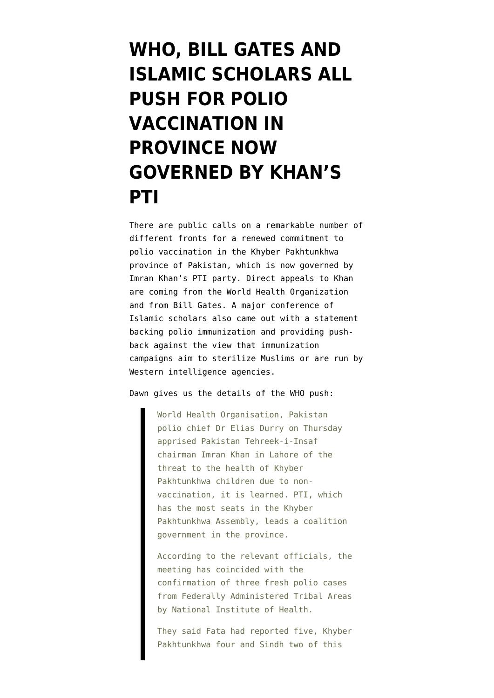## **[WHO, BILL GATES AND](https://www.emptywheel.net/2013/06/07/who-bill-gates-and-islamic-scholars-all-push-for-polio-vaccination-in-province-now-governed-by-khans-pti/) [ISLAMIC SCHOLARS ALL](https://www.emptywheel.net/2013/06/07/who-bill-gates-and-islamic-scholars-all-push-for-polio-vaccination-in-province-now-governed-by-khans-pti/) [PUSH FOR POLIO](https://www.emptywheel.net/2013/06/07/who-bill-gates-and-islamic-scholars-all-push-for-polio-vaccination-in-province-now-governed-by-khans-pti/) [VACCINATION IN](https://www.emptywheel.net/2013/06/07/who-bill-gates-and-islamic-scholars-all-push-for-polio-vaccination-in-province-now-governed-by-khans-pti/) [PROVINCE NOW](https://www.emptywheel.net/2013/06/07/who-bill-gates-and-islamic-scholars-all-push-for-polio-vaccination-in-province-now-governed-by-khans-pti/) [GOVERNED BY KHAN'S](https://www.emptywheel.net/2013/06/07/who-bill-gates-and-islamic-scholars-all-push-for-polio-vaccination-in-province-now-governed-by-khans-pti/) [PTI](https://www.emptywheel.net/2013/06/07/who-bill-gates-and-islamic-scholars-all-push-for-polio-vaccination-in-province-now-governed-by-khans-pti/)**

There are public calls on a remarkable number of different fronts for a renewed commitment to polio vaccination in the Khyber Pakhtunkhwa province of Pakistan, which is now governed by Imran Khan's PTI party. Direct appeals to Khan are coming from the World Health Organization and from Bill Gates. A major conference of Islamic scholars also came out with a statement backing polio immunization and providing pushback against the view that immunization campaigns aim to sterilize Muslims or are run by Western intelligence agencies.

Dawn gives us the [details of the WHO push:](http://beta.dawn.com/news/1016528/who-chief-alerts-imran-to-polio-threat-in-kp)

World Health Organisation, Pakistan polio chief Dr Elias Durry on Thursday apprised Pakistan Tehreek-i-Insaf chairman Imran Khan in Lahore of the threat to the health of Khyber Pakhtunkhwa children due to nonvaccination, it is learned. PTI, which has the most seats in the Khyber Pakhtunkhwa Assembly, leads a coalition government in the province.

According to the relevant officials, the meeting has coincided with the confirmation of three fresh polio cases from Federally Administered Tribal Areas by National Institute of Health.

They said Fata had reported five, Khyber Pakhtunkhwa four and Sindh two of this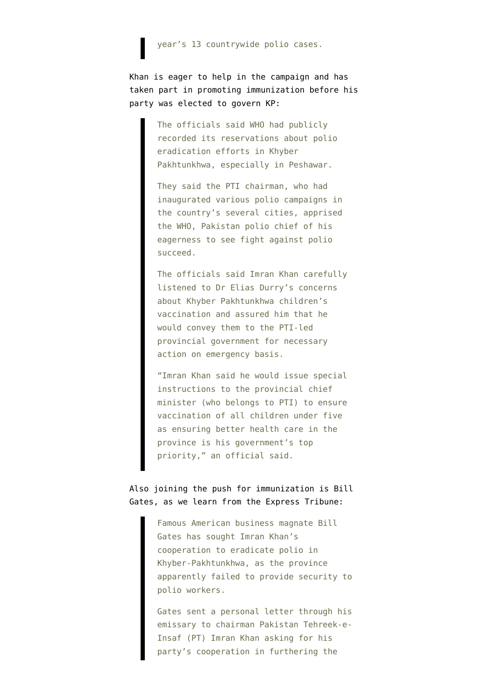## year's 13 countrywide polio cases.

Khan is eager to help in the campaign and has taken part in promoting immunization before his party was elected to govern KP:

> The officials said WHO had publicly recorded its reservations about polio eradication efforts in Khyber Pakhtunkhwa, especially in Peshawar.

They said the PTI chairman, who had inaugurated various polio campaigns in the country's several cities, apprised the WHO, Pakistan polio chief of his eagerness to see fight against polio succeed.

The officials said Imran Khan carefully listened to Dr Elias Durry's concerns about Khyber Pakhtunkhwa children's vaccination and assured him that he would convey them to the PTI-led provincial government for necessary action on emergency basis.

"Imran Khan said he would issue special instructions to the provincial chief minister (who belongs to PTI) to ensure vaccination of all children under five as ensuring better health care in the province is his government's top priority," an official said.

## Also [joining the push for immunization is Bill](http://tribune.com.pk/story/560178/anti-polio-programme-bill-gates-reaches-out-to-imran-khan-for-support/) [Gates](http://tribune.com.pk/story/560178/anti-polio-programme-bill-gates-reaches-out-to-imran-khan-for-support/), as we learn from the Express Tribune:

Famous American business magnate Bill Gates has sought Imran Khan's cooperation to eradicate polio in Khyber-Pakhtunkhwa, as the province apparently failed to provide security to polio workers.

Gates sent a personal letter through his emissary to chairman Pakistan Tehreek-e-Insaf (PT) Imran Khan asking for his party's cooperation in furthering the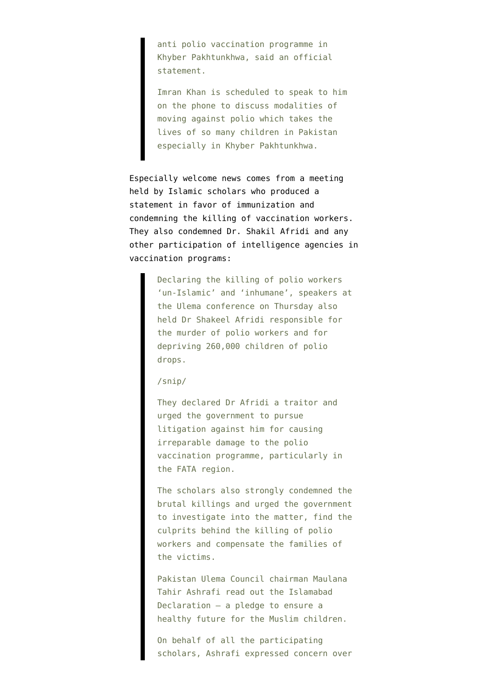anti polio vaccination programme in Khyber Pakhtunkhwa, said an official statement.

Imran Khan is scheduled to speak to him on the phone to discuss modalities of moving against polio which takes the lives of so many children in Pakistan especially in Khyber Pakhtunkhwa.

Especially welcome news comes from a meeting held by [Islamic scholars who produced a](http://tribune.com.pk/story/560058/ulema-conference-sabotage-of-polio-drive-blamed-on-dr-afridi/) [statement in favor of immunization](http://tribune.com.pk/story/560058/ulema-conference-sabotage-of-polio-drive-blamed-on-dr-afridi/) and condemning the killing of vaccination workers. They also condemned Dr. Shakil Afridi and any other participation of intelligence agencies in vaccination programs:

> Declaring the killing of polio workers 'un-Islamic' and 'inhumane', speakers at the Ulema conference on Thursday also held Dr Shakeel Afridi responsible for the murder of polio workers and for depriving 260,000 children of polio drops.

## /snip/

They declared Dr Afridi a traitor and urged the government to pursue litigation against him for causing irreparable damage to the polio vaccination programme, particularly in the FATA region.

The scholars also strongly condemned the brutal killings and urged the government to investigate into the matter, find the culprits behind the killing of polio workers and compensate the families of the victims.

Pakistan Ulema Council chairman Maulana Tahir Ashrafi read out the Islamabad Declaration – a pledge to ensure a healthy future for the Muslim children.

On behalf of all the participating scholars, Ashrafi expressed concern over